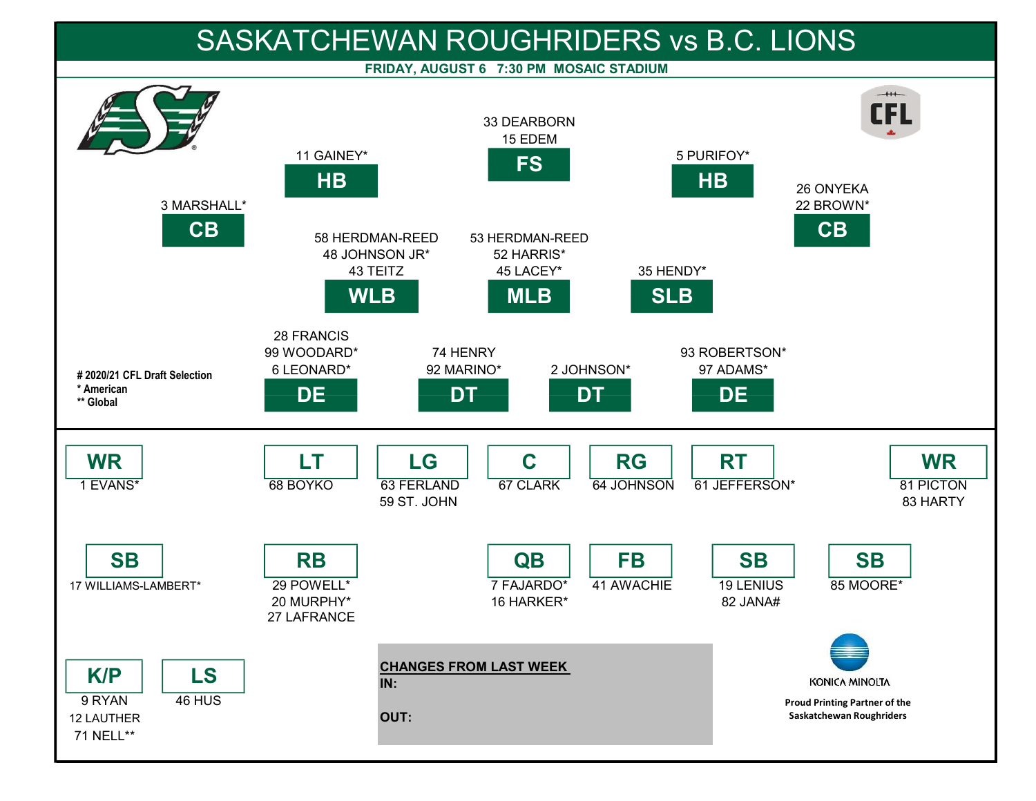